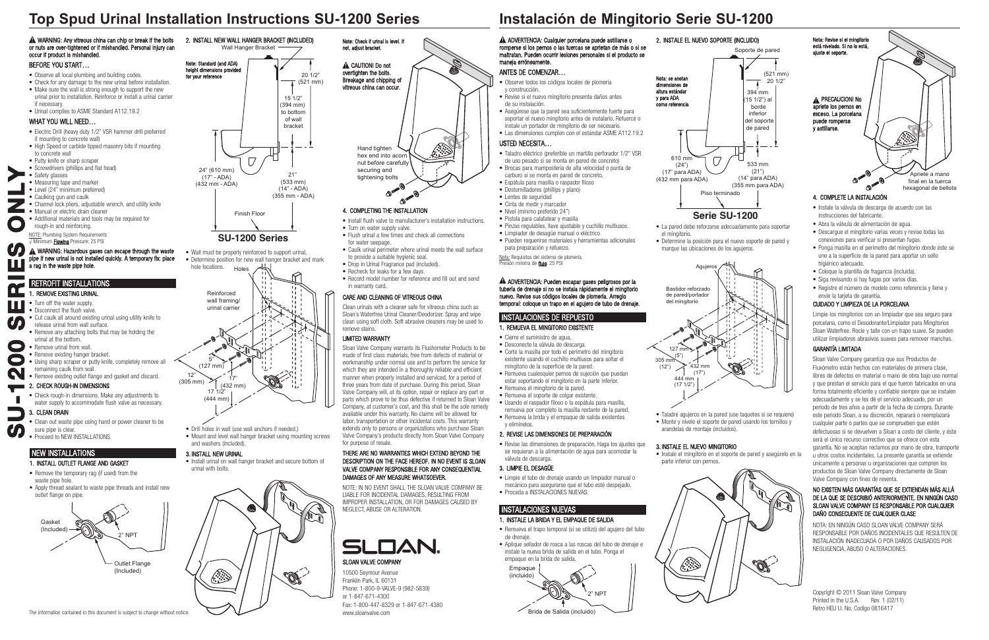

# **Top Spud Urinal Installation Instructions SU-1200 Series**

# NEW INSTALLATIONS

#### 1. INSTALL OUTLET FLANGE AND GASkET

- Remove the temporary rag (if used) from the waste pipe hole.
- Apply thread sealant to waste pipe threads and install new outlet flange on pipe.



10500 Seymour Avenue Franklin Park, IL 60131 Phone: 1-800-9-VALVE-9 (982-5839) or 1-847-671-4300 Fax: 1-800-447-8329 or 1-847-671-4380 www.sloanvalve.com

### RETROFIT INSTALLATIONS

- 1. REMOVE EXISTING URINAL
- Turn off the water supply. **E**
	- Disconnect the flush valve.
	- Cut caulk all around existing urinal using utility knife to release urinal from wall surface.
	- Remove any attaching bolts that may be holding the urinal at the bottom.
- Remove urinal from wall. **0 S**
- Remove existing hanger bracket. • Using sharp scraper or putty knife, completely remove all **0**
- remaining caulk from wall. **2**
	- Remove existing outlet flange and gasket and discard.
- 2. CHECK ROUGH-IN DIMENSIONS
	- Check rough-in dimensions. Make any adjustments to water supply to accommodate flush valve as necessary.

#### A WARNING: Any vitreous china can chip or break if the bolts or nuts are over-tightened or if mishandled. Personal injury can occur if product is mishandled.

- Clean out waste pipe using hand or power cleaner to be sure pipe is clear.
- Proceed to NEW INSTALLATIONS.

Wall Hanger Bracket



20 1/2" (521 mm)

2. INSTALL NEW WALL hANGER BRACkET (INCLUDED)

Reinforced wall framing/ urinal carrier

Hand tighten hex end into acorn nut before carefully securing and

### BEFORE YOU START…

- Observe all local plumbing and building codes.
- Check for any damage to the new urinal before installation.
- Make sure the wall is strong enough to support the new urinal prior to installation. Reinforce or install a urinal carrier
- if necessary.
- Urinal complies to ASME Standard A112.19.2

#### WhAT YOU WILL NEED…

305 mm  $(12")$ 

 $127$  mm (5")

- Electric Drill (heavy duty 1/2" VSR hammer drill preferred if mounting to concrete wall)
- high Speed or carbide tipped masonry bits if mounting to concrete wall
- Putty knife or sharp scraper
- Screwdrivers (phillips and flat head)
- Safety glasses **Y**
	- Measuring tape and marker
- Level (24" minimum preferred) **L**
	- Caulking gun and caulk
- Channel lock pliers, adjustable wrench, and utility knife **N**
	- Manual or electric drain cleaner • Additional materials and tools may be required for
	- rough-in and reinforcing.

#### A ADVERTENCIA: Cualquier porcelana puede astillarse o romperse si los pernos o las tuercas se aprietan de más o si se maltratan. Pueden ocurrir lesiones personales si el producto se maneja erróneamente.

NOTE: Plumbing System Requirements √ Minimum Flowing Pressure: 25 PSI



### INSTALACIONES DE REPUESTO

#### 1. REMUEVA EL MINGITORIO EXISTENTE

Nota: Requisitos del sistema de plomería Presión mínima de flujo: 25 PSI

#### A ADVERTENCIA: Pueden escapar gases peligrosos por la tubería de drenaje si no se instala rápidamente el mingitorio nuevo. Revise sus códigos locales de plomería. Arreglo temporal: coloque un trapo en el agujero de tubo de drenaje.

- Cierre el suministro de agua. • Desconecte la válvula de descarga.
- Corte la masilla por todo el perímetro del mingitorio existente usando el cuchillo multiusos para soltar el mingitorio de la superficie de la pared.
- Remueva cualesquier pernos de sujeción que puedan estar soportando el mingitorio en la parte inferior.
- Remueva el mingitorio de la pared.
- Remueva el soporte de colgar existente. • Usando el raspador filoso o la espátula para masilla,
- remueva por completo la masilla restante de la pared. • Remueva la brida y el empaque de salida existentes
- y elimínelos.

Note: Standard (and ADA) height dimensions provided for your reference

**A** CAUTION! Do not overtighten the bolts. Breakage and chipping of vitreous china can occur.

tightening bolts<br>  $\bullet$ 

to provide a suitable hygienic seal. • Drop in Urinal Fragrance pad (included). • Recheck for leaks for a few days.

# 2. REVISE LAS DIMENSIONES DE PREPARACIÓN

• Record model number for reference and fill out and send in warranty card.

> • Revise las dimensiones de preparación. haga los ajustes que se requieran a la alimentación de agua para acomodar la válvula de descarga.

#### 3. LIMPIE EL DESAGÜE

• Limpie el tubo de drenaje usando un limpiador manual o mecánico para asegurarse que el tubo esté despejado. • Proceda a INSTALACIONES NUEVAS.

#### 2. INSTALE EL NUEVO SOPORTE (INCLUIDO)

Nota: se anotan dimensiones de altura estánda y para ADA como referencia

# INSTALACIONES NUEVAS



- 1. INSTALE LA BRIDA Y EL EMPAQUE DE SALIDA
- Remueva el trapo temporal (si se utilizó) del agujero del tubo de drenaje.
- Aplique sellador de rosca a las roscas del tubo de drenaje e instale la nueva brida de salida en el tubo. Ponga el empaque en la brida de salida.



610 mm  $(24")$ (17" para ADA) (432 mm para ADA)

• Taladre agujeros en la pared (use taquetes si se requiere) • Monte y nivele el soporte de pared usando los tornillos y arandelas de montaje (incluidos).

Bastidor reforzado de pared/portador del mingitorio

> 444 mm (17 1/2")

432 mm (17")

Agujero

 $\Box$ 

#### 3. INSTALE EL NUEVO MINGITORIO

• Instale el mingitorio en el soporte de pared y asegúrelo en la



parte inferior con pernos.

#### ANTES DE COMENZAR…

- Observe todos los códigos locales de plomería y construcción.
- Revise si el nuevo mingitorio presenta daños antes de su instalación.
- Asegúrese que la pared sea suficientemente fuerte para soportar el nuevo mingitorio antes de instalarlo. Refuerce o instale un portador de mingitorio de ser necesario. • Las dimensiones cumplen con el estándar ASME A112.19.2

#### USTED NECESITA…

A WARNING: Hazardous gases can escape through the waste pipe if new urinal is not installed quickly. A temporary fix: place a rag in the waste pipe hole. **ES O**

- Taladro eléctrico (preferible un martillo perforador 1/2" VSR de uso pesado si se monta en pared de concreto)
- Brocas para mampostería de alta velocidad o punta de carburo si se monta en pared de concreto.
- Espátula para masilla o raspador filoso
- Destornilladores (phillips y plano)
- Lentes de seguridad
- Cinta de medir y marcador
- Nivel (mínimo preferido 24")
- Pistola para calafatear y masilla
- Pinzas regulables, llave ajustable y cuchillo multiusos.
- Limpiador de desagüe manual o eléctrico
- Pueden requerirse materiales y herramientas adicionales para preparación y refuerzo.

#### 3. CLEAN DRAIN **U**

# **Instalación de Mingitorio Serie SU-1200**

Copyright © 2011 Sloan Valve Company Printed in the U.S.A. Rev. 1 (02/11) Retro hEU I.I. No. Codigo 0816417

Note: Check if urinal is level. If not, adjust bracket.

- Install urinal on wall hanger bracket and secure bottom of
- urinal with bolts.



- Wall must be properly reinforced to support urinal.
- 



4. COMPLETING ThE INSTALLATION

• Install flush valve to manufacturer's installation instructions.

٢

• Turn on water supply valve.

for water seepage

• Flush urinal a few times and check all connections

• Caulk urinal perimeter where urinal meets the wall surface

### CARE AND CLEANING OF VITREOUS ChINA

Clean urinals with a cleaner safe for vitreous china such as Sloan's Waterfree Urinal Cleaner/Deodorizer. Spray and wipe clean using soft cloth. Soft abrasive cleaners may be used to remove stains.

#### LIMITED WARRANTY

Sloan Valve Company warrants its Flushometer Products to be made of first class materials, free from defects of material or workmanship under normal use and to perform the service for which they are intended in a thoroughly reliable and efficient manner when properly installed and serviced, for a period of three years from date of purchase. During this period, Sloan Valve Company will, at its option, repair or replace any part or parts which prove to be thus defective if returned to Sloan Valve Company, at customer's cost, and this shall be the sole remedy available under this warranty. No claims will be allowed for labor, transportation or other incidental costs. This warranty extends only to persons or organizations who purchase Sloan Valve Company's products directly from Sloan Valve Company for purpose of resale.

#### ThERE ARE NO WARRANTIES WhICh EXTEND BEYOND ThE DESCRIPTION ON ThE FACE hEREOF. IN NO EVENT IS SLOAN VALVE COMPANY RESPONSIBLE FOR ANY CONSEQUENTIAL DAMAGES OF ANY MEASURE WhATSOEVER.

NOTE: IN NO EVENT ShALL ThE SLOAN VALVE COMPANY BE LIABLE FOR INCIDENTAL DAMAGES, RESULTING FROM IMPROPER INSTALLATION, OR FOR DAMAGES CAUSED BY NEGLECT, ABUSE OR ALTERATION.

#### 4. COMPLETE LA INSTALACIÓN

- Instale la válvula de descarga de acuerdo con las instrucciones del fabricante.
- Abra la válvula de alimentación de agua.
- Descargue el mingitorio varias veces y revise todas las conexiones para verificar si presentan fugas.
- Ponga masilla en el perímetro del mingitorio donde éste se une a la superficie de la pared para aportar un sello higiénico adecuado.
- Coloque la plantilla de fragancia (incluida).
- Siga revisando si hay fugas por varios días.
- Registre el número de modelo como referencia y llene y envíe la tarjeta de garantía.

#### CUIDADO Y LIMPIEZA DE LA PORCELANA

Limpie los mingitorios con un limpiador que sea seguro para porcelana, como el Desodorante/Limpiador para Mingitorios Sloan Waterfree. Rocíe y talle con un trapo suave. Se pueden utilizar limpiadores abrasivos suaves para remover manchas.

#### GARANTÍA LIMITADA

Sloan Valve Company garantiza que sus Productos de Fluxómetro están hechos con materiales de primera clase, libres de defectos en material o mano de obra bajo uso normal y que prestan el servicio para el que fueron fabricados en una forma totalmente eficiente y confiable siempre que se instalen adecuadamente y se les dé el servicio adecuado, por un periodo de tres años a partir de la fecha de compra. Durante este periodo Sloan, a su discreción, reparará o reemplazará cualquier parte o partes que se comprueben que estén defectuosas si se devuelven a Sloan a costo del cliente, y éste será el único recurso correctivo que se ofrece con esta garantía. No se aceptan reclamos por mano de obra, transporte u otros costos incidentales. La presente garantía se extiende únicamente a personas u organizaciones que compren los productos de Sloan Valve Company directamente de Sloan Valve Company con fines de reventa.

#### NO EXISTEN MÁS GARANTÍAS QUE SE EXTIENDAN MÁS ALLÁ DE LA QUE SE DESCRIBIÓ ANTERIORMENTE. EN NINGÚN CASO SLOAN VALVE COMPANY ES RESPONSABLE POR CUALQUIER DAÑO CONSECUENTE DE CUALQUIER CLASE

NOTA: EN NINGÚN CASO SLOAN VALVE COMPANY SERÁ RESPONSABLE POR DAÑOS INCIDENTALES QUE RESULTEN DE INSTALACIÓN INADECUADA O POR DAÑOS CAUSADOS POR NEGLIGENCIA, ABUSO O ALTERACIONES.

• La pared debe reforzarse adecuadamente para soportar

el mingitorio.

• Determine la posición para el nuevo soporte de pared y marque las ubicaciones de los agujeros.



# **Serie SU-1200**

**S**

**R**